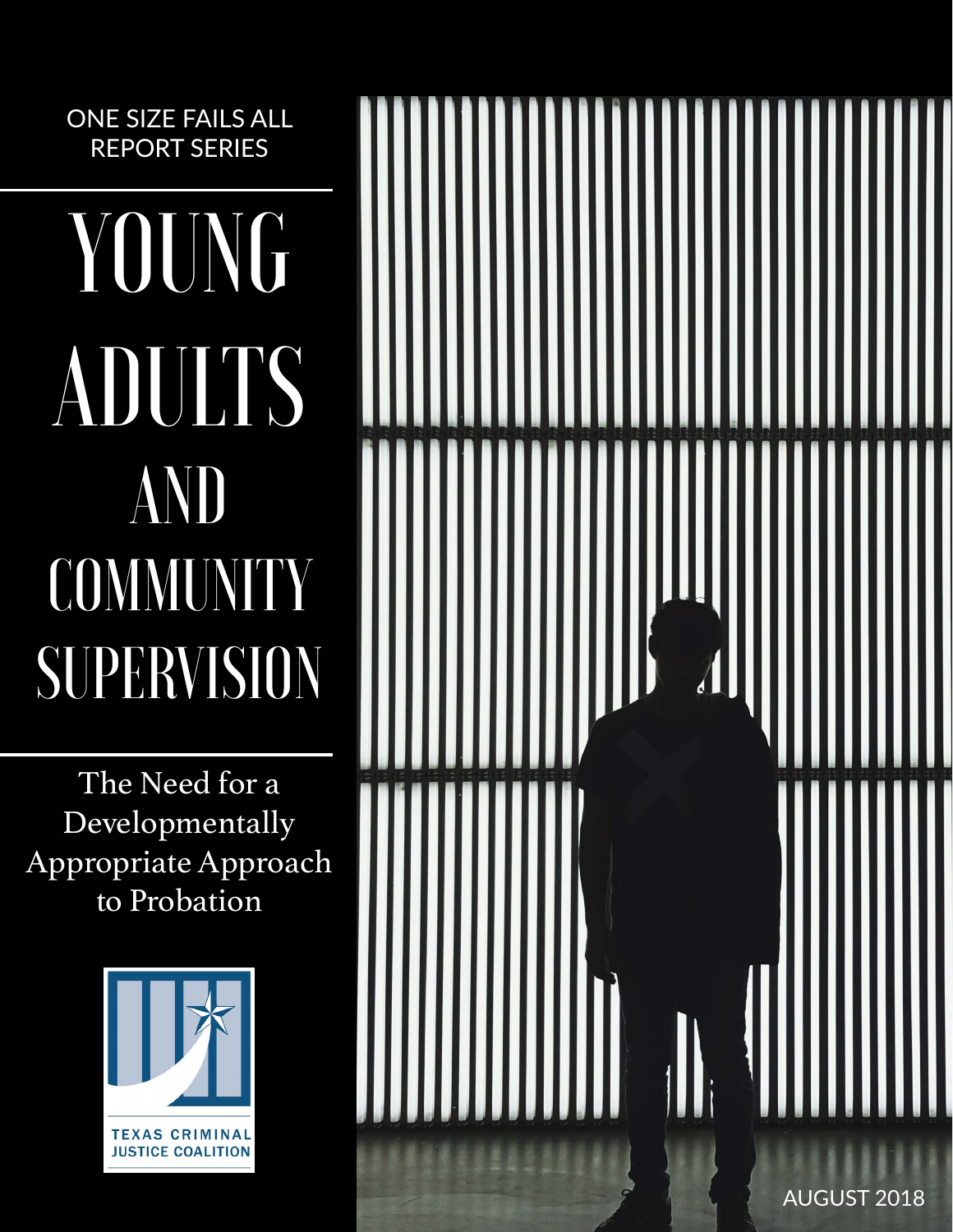ONE SIZE FAILS ALL REPORT SERIES

# YOUNG ADULTS AND COMMUNITY SUPERVISION

The Need for a Developmentally Appropriate Approach to Probation



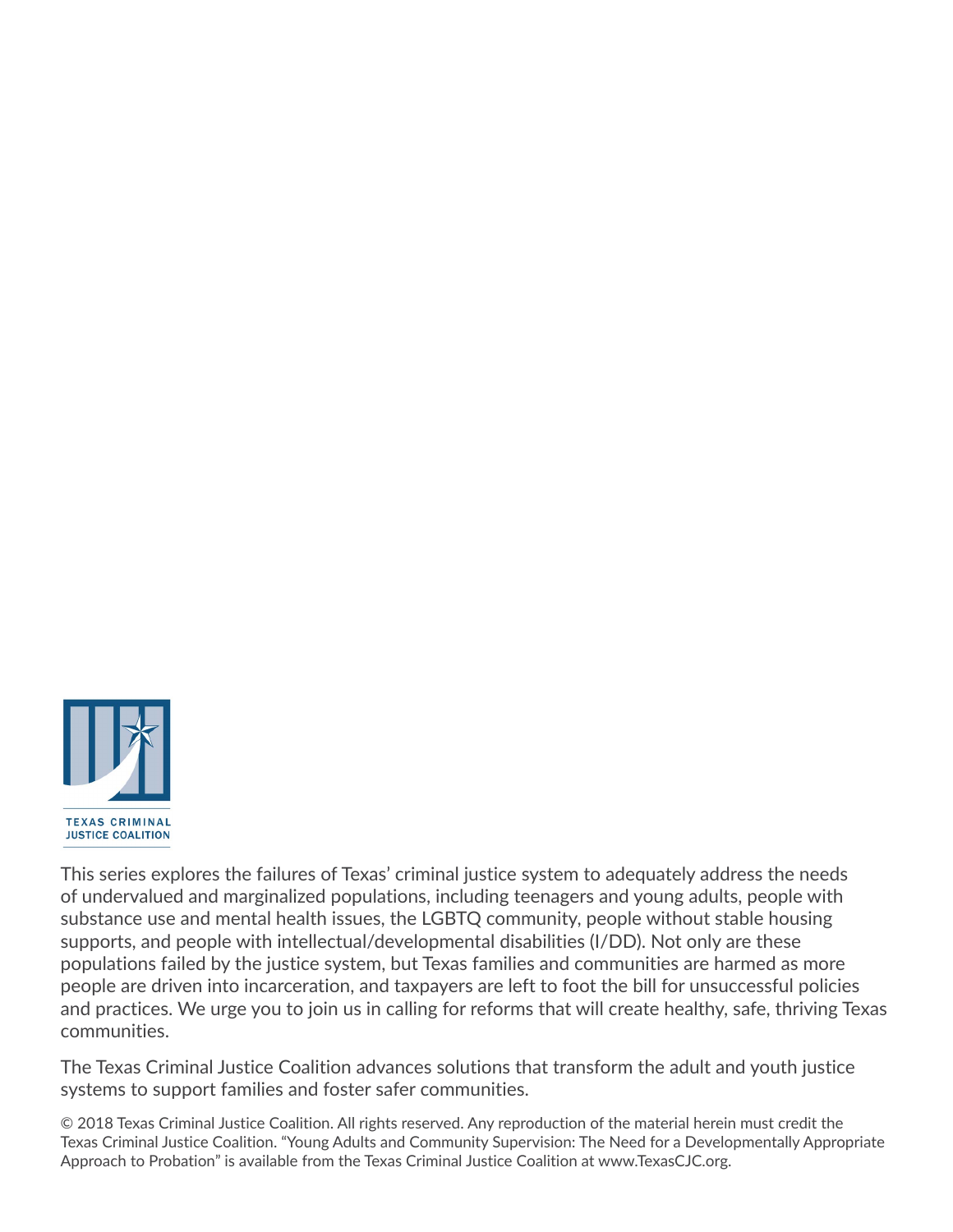

This series explores the failures of Texas' criminal justice system to adequately address the needs of undervalued and marginalized populations, including teenagers and young adults, people with substance use and mental health issues, the LGBTQ community, people without stable housing supports, and people with intellectual/developmental disabilities (I/DD). Not only are these populations failed by the justice system, but Texas families and communities are harmed as more people are driven into incarceration, and taxpayers are left to foot the bill for unsuccessful policies and practices. We urge you to join us in calling for reforms that will create healthy, safe, thriving Texas communities.

The Texas Criminal Justice Coalition advances solutions that transform the adult and youth justice systems to support families and foster safer communities.

© 2018 Texas Criminal Justice Coalition. All rights reserved. Any reproduction of the material herein must credit the Texas Criminal Justice Coalition. "Young Adults and Community Supervision: The Need for a Developmentally Appropriate Approach to Probation" is available from the Texas Criminal Justice Coalition at [www.TexasCJC.org.](http://www.TexasCJC.org)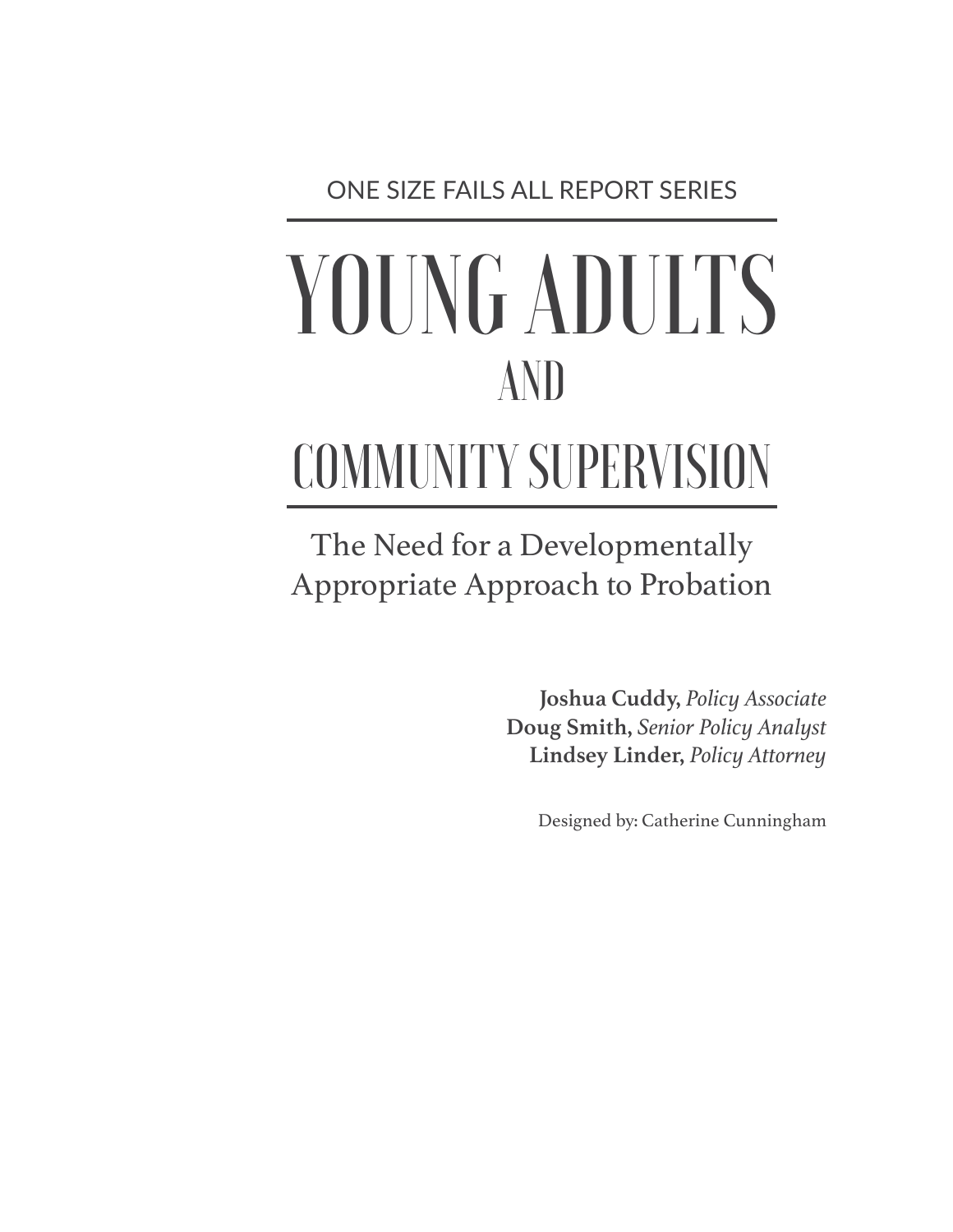ONE SIZE FAILS ALL REPORT SERIES

## YOUNG ADULTS AND

## COMMUNITY SUPERVISION

The Need for a Developmentally Appropriate Approach to Probation

> **Joshua Cuddy,** *Policy Associate* **Doug Smith,** *Senior Policy Analyst* **Lindsey Linder,** *Policy Attorney*

> > Designed by: Catherine Cunningham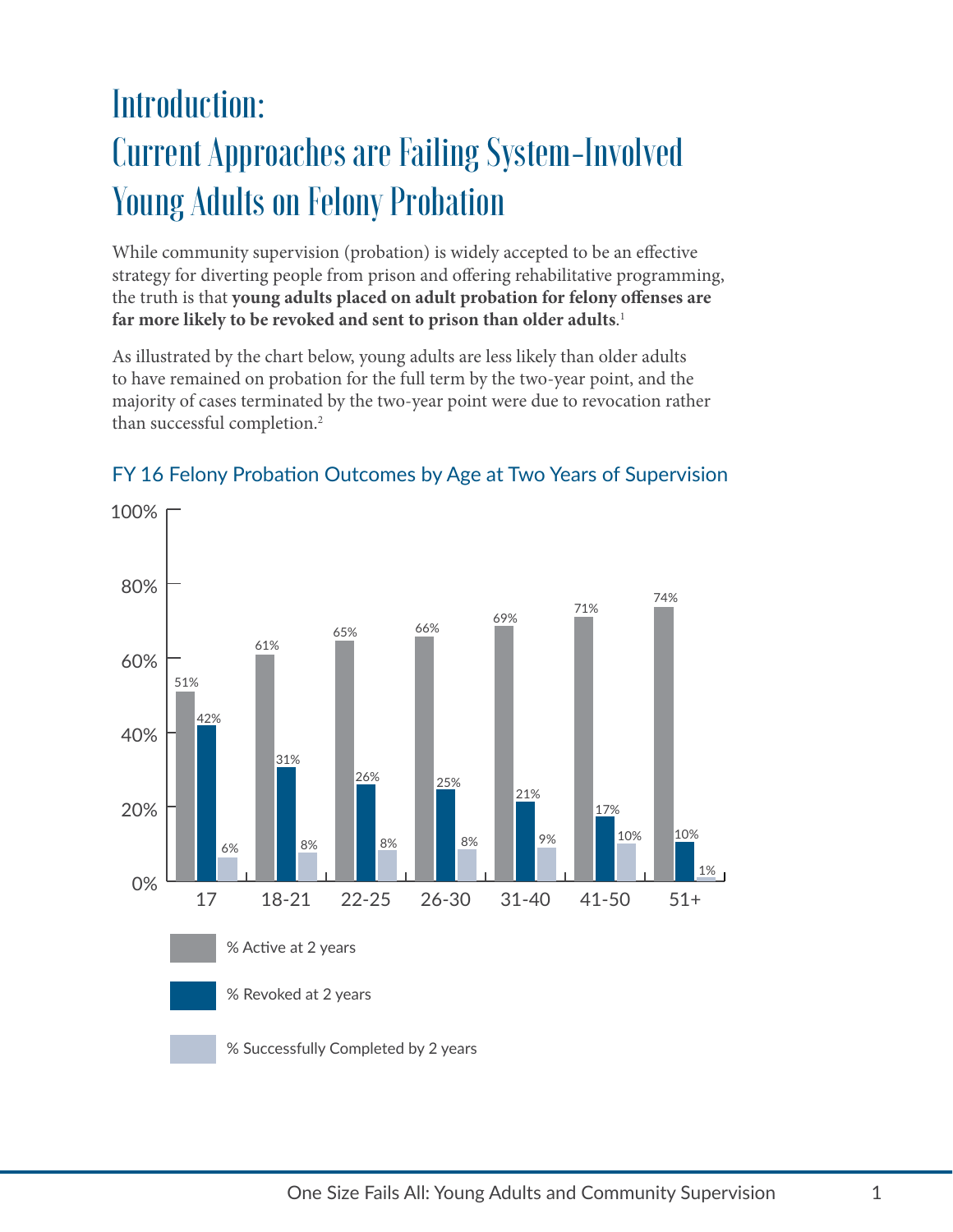### Introduction: Current Approaches are Failing System-Involved Young Adults on Felony Probation

While community supervision (probation) is widely accepted to be an effective strategy for diverting people from prison and offering rehabilitative programming, the truth is that **young adults placed on adult probation for felony offenses are far more likely to be revoked and sent to prison than older adults**. [1](#page-16-0)

As illustrated by the chart below, young adults are less likely than older adults to have remained on probation for the full term by the two-year point, and the majority of cases terminated by the two-year point were due to revocation rather than successful completion[.2](#page-16-1)



#### FY 16 Felony Probation Outcomes by Age at Two Years of Supervision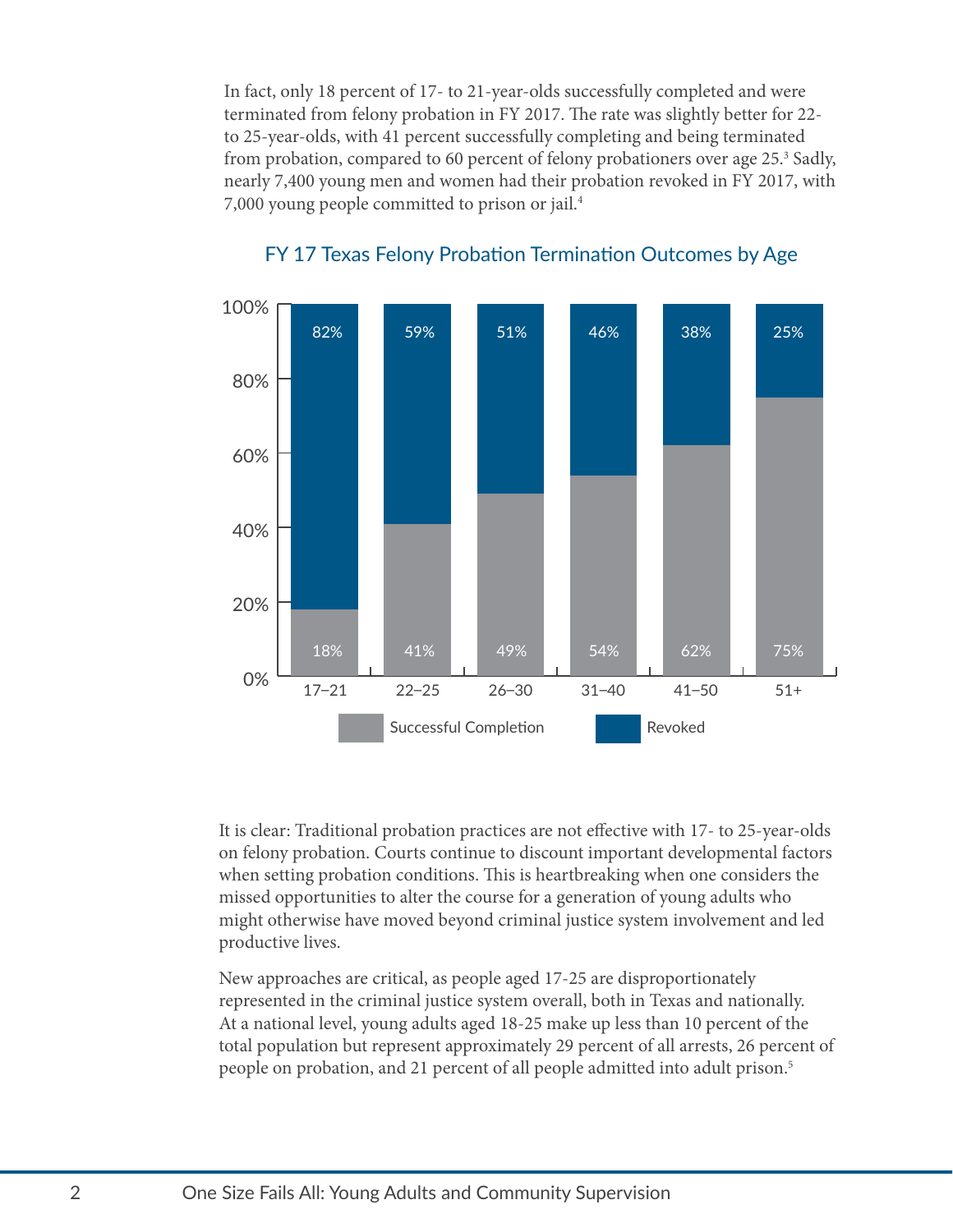In fact, only 18 percent of 17- to 21-year-olds successfully completed and were terminated from felony probation in FY 2017. The rate was slightly better for 22 to 25-year-olds, with 41 percent successfully completing and being terminated from probation, compared to 60 percent of felony probationers over age 25.<sup>[3](#page-16-2)</sup> Sadly, nearly 7,400 young men and women had their probation revoked in FY 2017, with 7,000 young people committed to prison or jail[.4](#page-16-3)



#### FY 17 Texas Felony Probation Termination Outcomes by Age

It is clear: Traditional probation practices are not effective with 17- to 25-year-olds on felony probation. Courts continue to discount important developmental factors when setting probation conditions. This is heartbreaking when one considers the missed opportunities to alter the course for a generation of young adults who might otherwise have moved beyond criminal justice system involvement and led productive lives.

New approaches are critical, as people aged 17-25 are disproportionately represented in the criminal justice system overall, both in Texas and nationally. At a national level, young adults aged 18-25 make up less than 10 percent of the total population but represent approximately 29 percent of all arrests, 26 percent of people on probation, and 21 percent of all people admitted into adult prison.<sup>5</sup>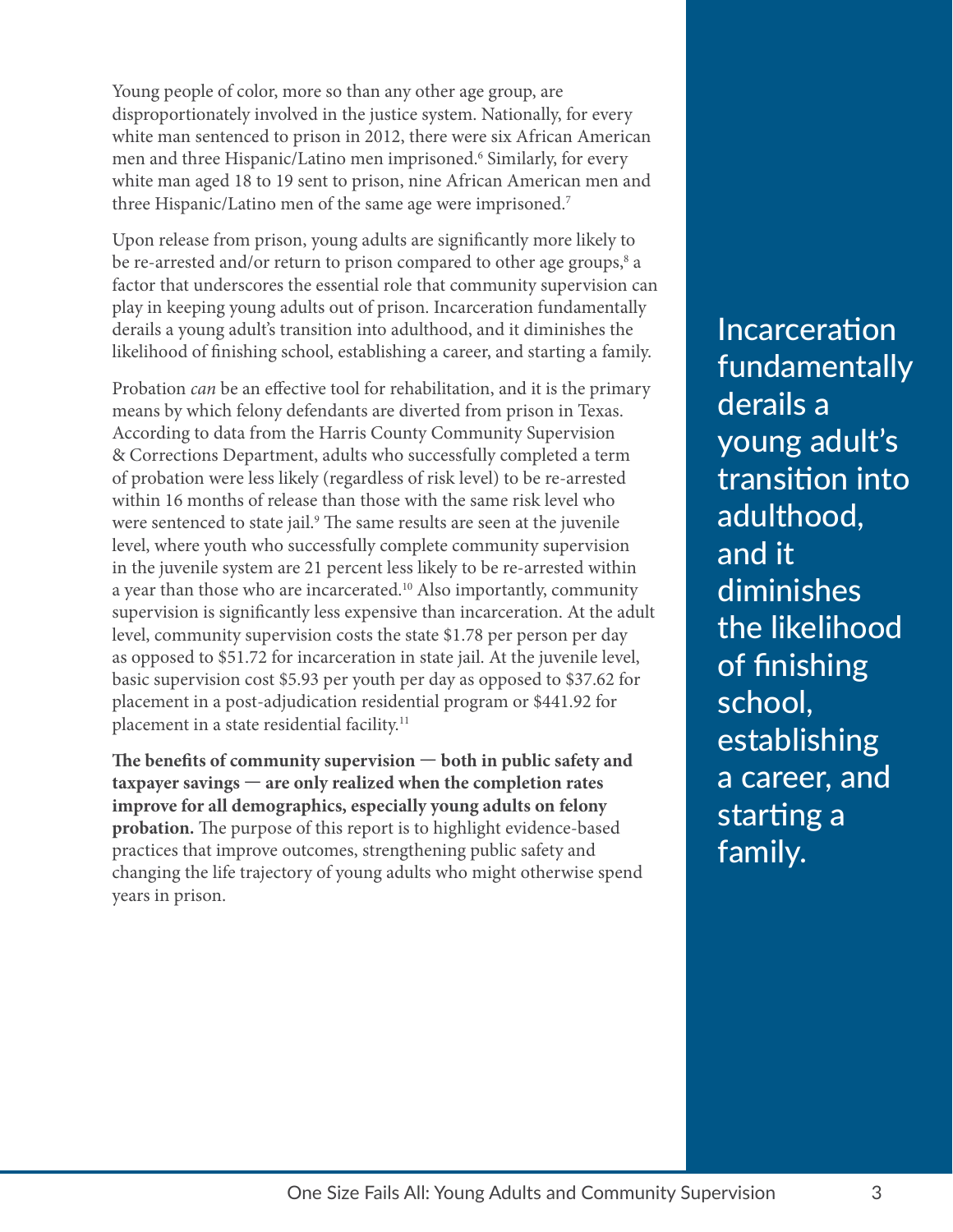Young people of color, more so than any other age group, are disproportionately involved in the justice system. Nationally, for every white man sentenced to prison in 2012, there were six African American men and three Hispanic/Latino men imprisoned.<sup>6</sup> Similarly, for every white man aged 18 to 19 sent to prison, nine African American men and three Hispanic/Latino men of the same age were imprisoned.[7](#page-16-6)

Upon release from prison, young adults are significantly more likely to be re-arrested and/or return to prison compared to other age groups,<sup>[8](#page-16-7)</sup> a factor that underscores the essential role that community supervision can play in keeping young adults out of prison. Incarceration fundamentally derails a young adult's transition into adulthood, and it diminishes the likelihood of finishing school, establishing a career, and starting a family.

Probation *can* be an effective tool for rehabilitation, and it is the primary means by which felony defendants are diverted from prison in Texas. According to data from the Harris County Community Supervision & Corrections Department, adults who successfully completed a term of probation were less likely (regardless of risk level) to be re-arrested within 16 months of release than those with the same risk level who were sentenced to state jail.<sup>[9](#page-16-8)</sup> The same results are seen at the juvenile level, where youth who successfully complete community supervision in the juvenile system are 21 percent less likely to be re-arrested within a year than those who are incarcerated.<sup>[10](#page-16-9)</sup> Also importantly, community supervision is significantly less expensive than incarceration. At the adult level, community supervision costs the state \$1.78 per person per day as opposed to \$51.72 for incarceration in state jail. At the juvenile level, basic supervision cost \$5.93 per youth per day as opposed to \$37.62 for placement in a post-adjudication residential program or \$441.92 for placement in a state residential facility.<sup>[11](#page-16-10)</sup>

**The benefits of community supervision — both in public safety and taxpayer savings — are only realized when the completion rates improve for all demographics, especially young adults on felony probation.** The purpose of this report is to highlight evidence-based practices that improve outcomes, strengthening public safety and changing the life trajectory of young adults who might otherwise spend years in prison.

Incarceration fundamentally derails a young adult's transition into adulthood, and it diminishes the likelihood of finishing school, establishing a career, and starting a family.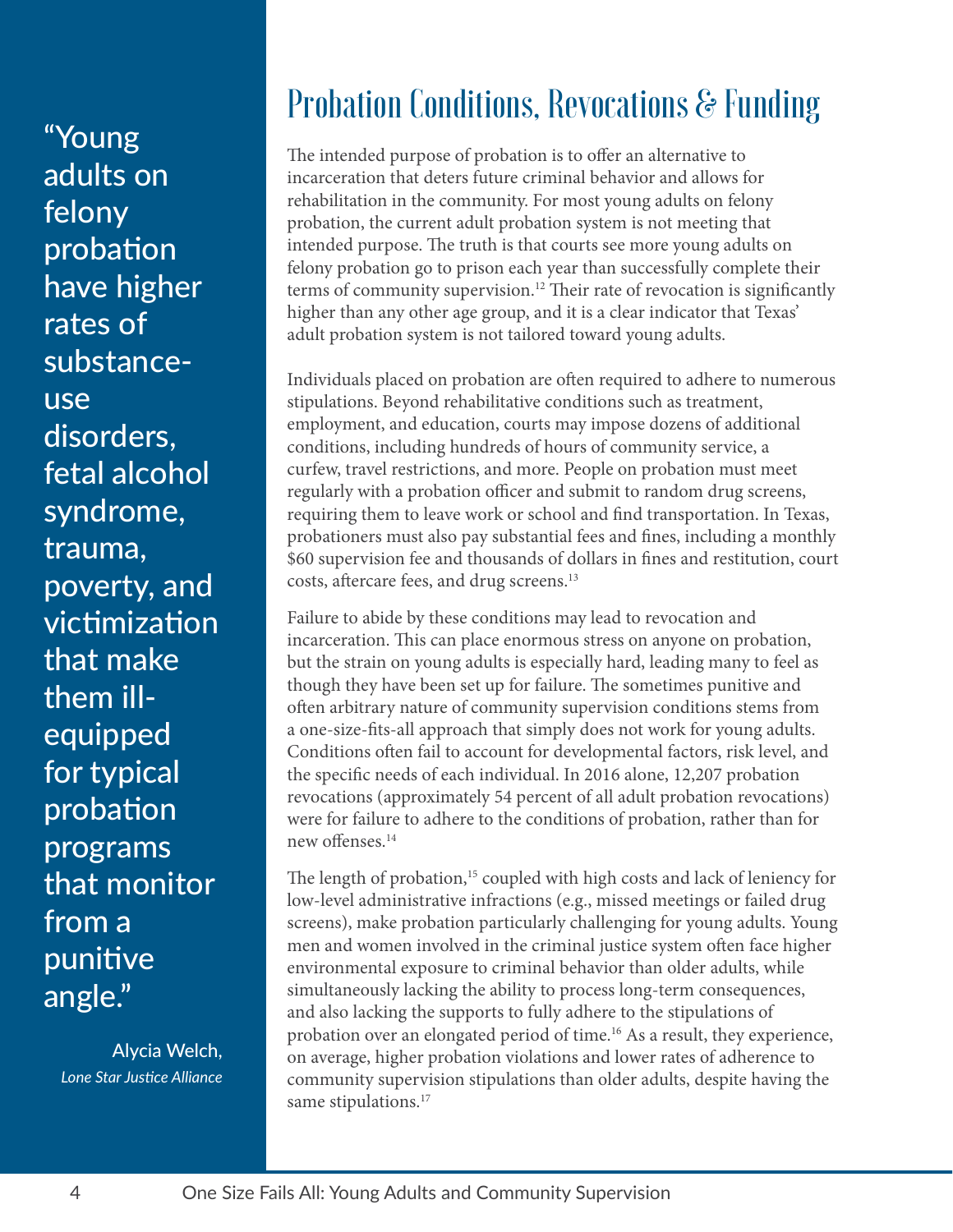"Young adults on felony probation have higher rates of substanceuse disorders, fetal alcohol syndrome, trauma, poverty, and victimization that make them illequipped for typical probation programs that monitor from a punitive angle."

Alycia Welch, *Lone Star Justice Alliance*

### Probation Conditions, Revocations & Funding

The intended purpose of probation is to offer an alternative to incarceration that deters future criminal behavior and allows for rehabilitation in the community. For most young adults on felony probation, the current adult probation system is not meeting that intended purpose. The truth is that courts see more young adults on felony probation go to prison each year than successfully complete their terms of community supervision.<sup>[12](#page-16-11)</sup> Their rate of revocation is significantly higher than any other age group, and it is a clear indicator that Texas' adult probation system is not tailored toward young adults.

Individuals placed on probation are often required to adhere to numerous stipulations. Beyond rehabilitative conditions such as treatment, employment, and education, courts may impose dozens of additional conditions, including hundreds of hours of community service, a curfew, travel restrictions, and more. People on probation must meet regularly with a probation officer and submit to random drug screens, requiring them to leave work or school and find transportation. In Texas, probationers must also pay substantial fees and fines, including a monthly \$60 supervision fee and thousands of dollars in fines and restitution, court costs, aftercare fees, and drug screens.<sup>13</sup>

Failure to abide by these conditions may lead to revocation and incarceration. This can place enormous stress on anyone on probation, but the strain on young adults is especially hard, leading many to feel as though they have been set up for failure. The sometimes punitive and often arbitrary nature of community supervision conditions stems from a one-size-fits-all approach that simply does not work for young adults. Conditions often fail to account for developmental factors, risk level, and the specific needs of each individual. In 2016 alone, 12,207 probation revocations (approximately 54 percent of all adult probation revocations) were for failure to adhere to the conditions of probation, rather than for new offenses[.14](#page-16-13)

The length of probation,<sup>15</sup> coupled with high costs and lack of leniency for low-level administrative infractions (e.g., missed meetings or failed drug screens), make probation particularly challenging for young adults. Young men and women involved in the criminal justice system often face higher environmental exposure to criminal behavior than older adults, while simultaneously lacking the ability to process long-term consequences, and also lacking the supports to fully adhere to the stipulations of probation over an elongated period of time.[16](#page-16-15) As a result, they experience, on average, higher probation violations and lower rates of adherence to community supervision stipulations than older adults, despite having the same stipulations.<sup>17</sup>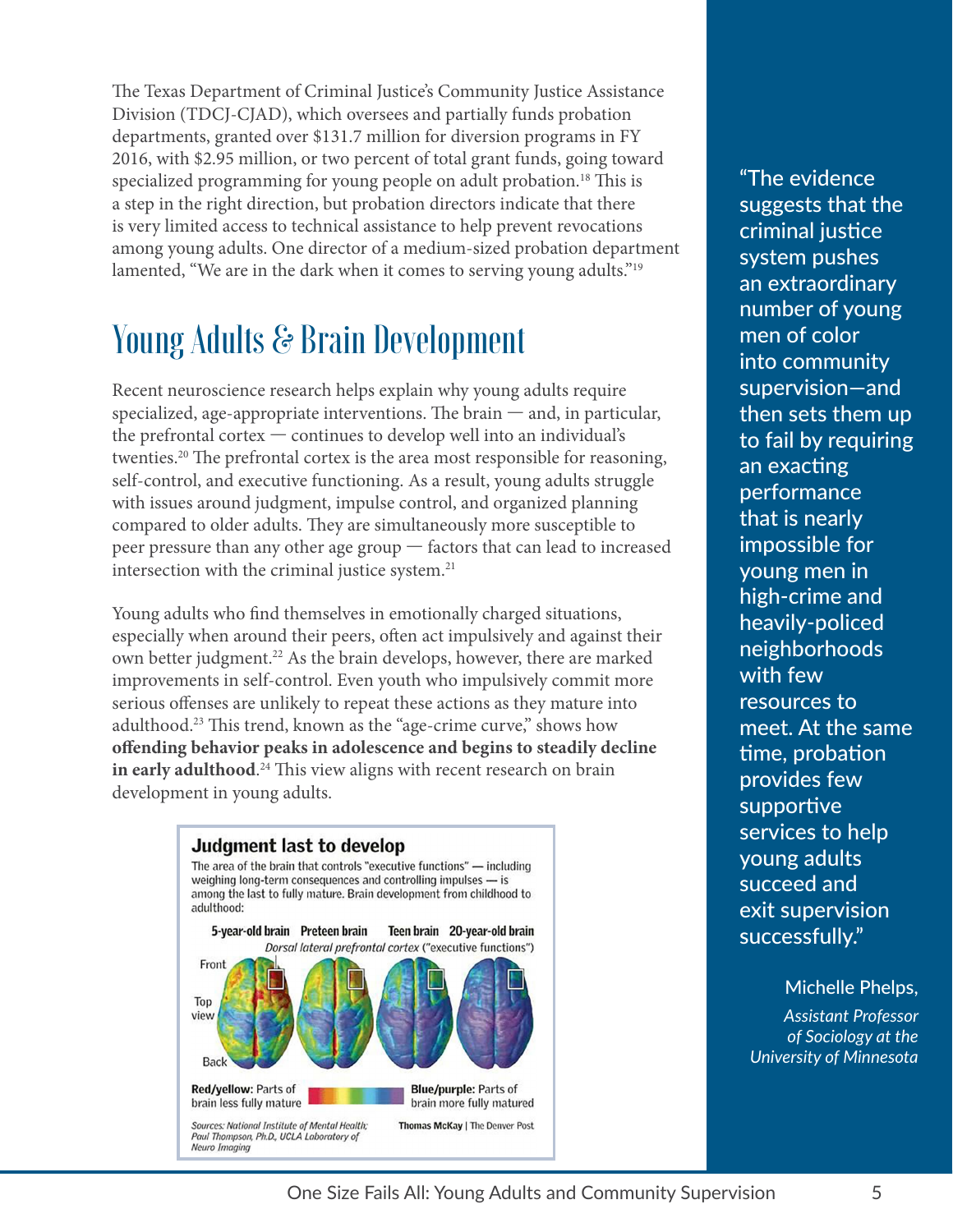The Texas Department of Criminal Justice's Community Justice Assistance Division (TDCJ-CJAD), which oversees and partially funds probation departments, granted over \$131.7 million for diversion programs in FY 2016, with \$2.95 million, or two percent of total grant funds, going toward specialized programming for young people on adult probation.<sup>[18](#page-16-17)</sup> This is a step in the right direction, but probation directors indicate that there is very limited access to technical assistance to help prevent revocations among young adults. One director of a medium-sized probation department lamented, "We are in the dark when it comes to serving young adults."<sup>[19](#page-16-18)</sup>

### Young Adults & Brain Development

Recent neuroscience research helps explain why young adults require specialized, age-appropriate interventions. The brain  $-$  and, in particular, the prefrontal cortex — continues to develop well into an individual's twenties[.20](#page-16-19) The prefrontal cortex is the area most responsible for reasoning, self-control, and executive functioning. As a result, young adults struggle with issues around judgment, impulse control, and organized planning compared to older adults. They are simultaneously more susceptible to peer pressure than any other age group — factors that can lead to increased intersection with the criminal justice system.<sup>21</sup>

Young adults who find themselves in emotionally charged situations, especially when around their peers, often act impulsively and against their own better judgment.<sup>22</sup> As the brain develops, however, there are marked improvements in self-control. Even youth who impulsively commit more serious offenses are unlikely to repeat these actions as they mature into adulthood[.23](#page-16-22) This trend, known as the "age-crime curve," shows how **offending behavior peaks in adolescence and begins to steadily decline in early adulthood**. [24](#page-16-23) This view aligns with recent research on brain development in young adults.



"The evidence suggests that the criminal justice system pushes an extraordinary number of young men of color into community supervision—and then sets them up to fail by requiring an exacting performance that is nearly impossible for young men in high-crime and heavily-policed neighborhoods with few resources to meet. At the same time, probation provides few supportive services to help young adults succeed and exit supervision successfully."

Michelle Phelps, *Assistant Professor of Sociology at the University of Minnesota*

1 One Size Fails All: Young Adults and Community Supervision 5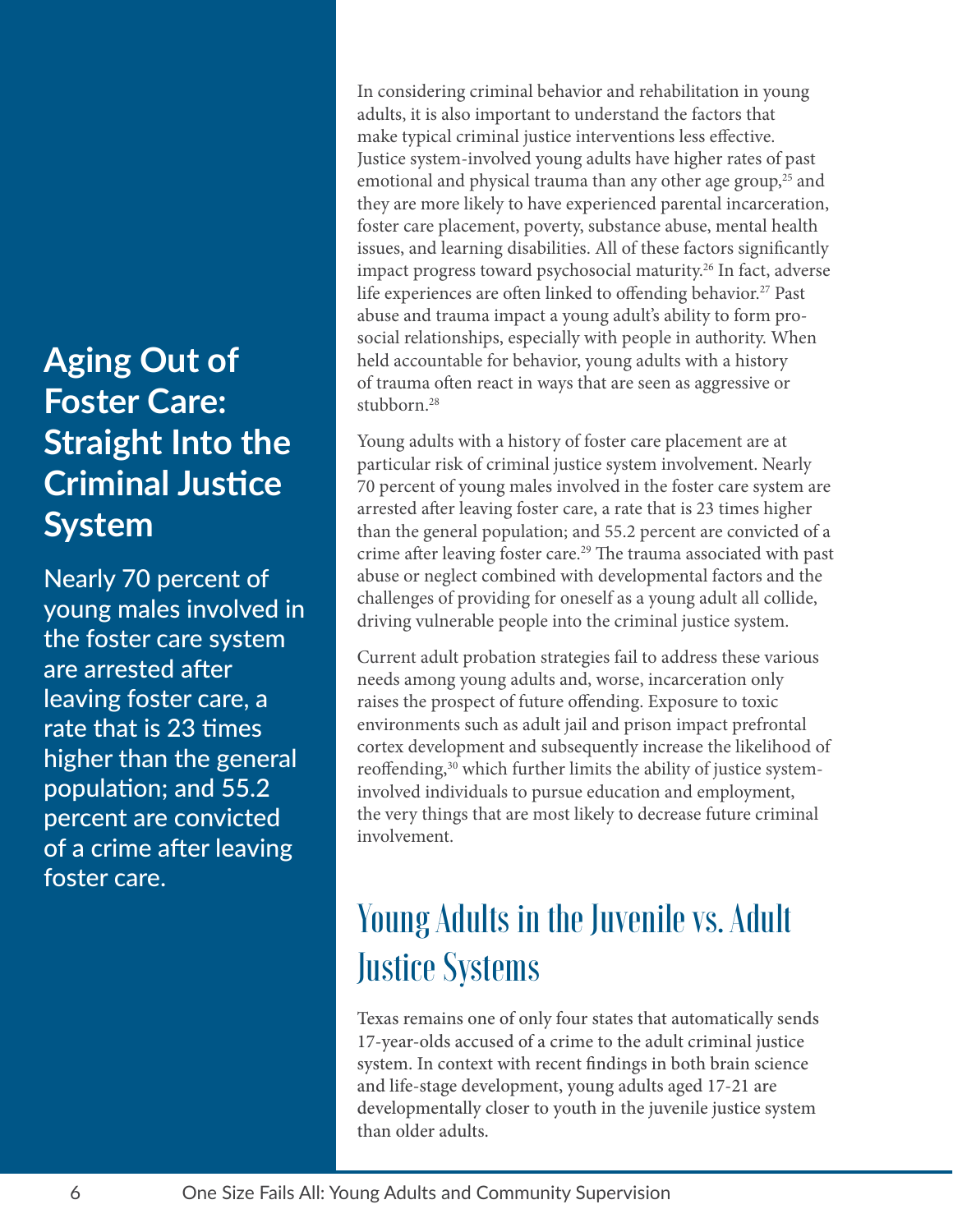### **Aging Out of Foster Care: Straight Into the Criminal Justice System**

Nearly 70 percent of young males involved in the foster care system are arrested after leaving foster care, a rate that is 23 times higher than the general population; and 55.2 percent are convicted of a crime after leaving foster care.

In considering criminal behavior and rehabilitation in young adults, it is also important to understand the factors that make typical criminal justice interventions less effective. Justice system-involved young adults have higher rates of past emotional and physical trauma than any other age group, $25$  and they are more likely to have experienced parental incarceration, foster care placement, poverty, substance abuse, mental health issues, and learning disabilities. All of these factors significantly impact progress toward psychosocial maturity.[26](#page-16-25) In fact, adverse life experiences are often linked to offending behavior.<sup>27</sup> Past abuse and trauma impact a young adult's ability to form prosocial relationships, especially with people in authority. When held accountable for behavior, young adults with a history of trauma often react in ways that are seen as aggressive or stubborn.<sup>[28](#page-16-27)</sup>

Young adults with a history of foster care placement are at particular risk of criminal justice system involvement. Nearly 70 percent of young males involved in the foster care system are arrested after leaving foster care, a rate that is 23 times higher than the general population; and 55.2 percent are convicted of a crime after leaving foster care[.29](#page-16-28) The trauma associated with past abuse or neglect combined with developmental factors and the challenges of providing for oneself as a young adult all collide, driving vulnerable people into the criminal justice system.

Current adult probation strategies fail to address these various needs among young adults and, worse, incarceration only raises the prospect of future offending. Exposure to toxic environments such as adult jail and prison impact prefrontal cortex development and subsequently increase the likelihood of reoffending,<sup>[30](#page-16-29)</sup> which further limits the ability of justice systeminvolved individuals to pursue education and employment, the very things that are most likely to decrease future criminal involvement.

### Young Adults in the Juvenile vs. Adult Justice Systems

Texas remains one of only four states that automatically sends 17-year-olds accused of a crime to the adult criminal justice system. In context with recent findings in both brain science and life-stage development, young adults aged 17-21 are developmentally closer to youth in the juvenile justice system than older adults.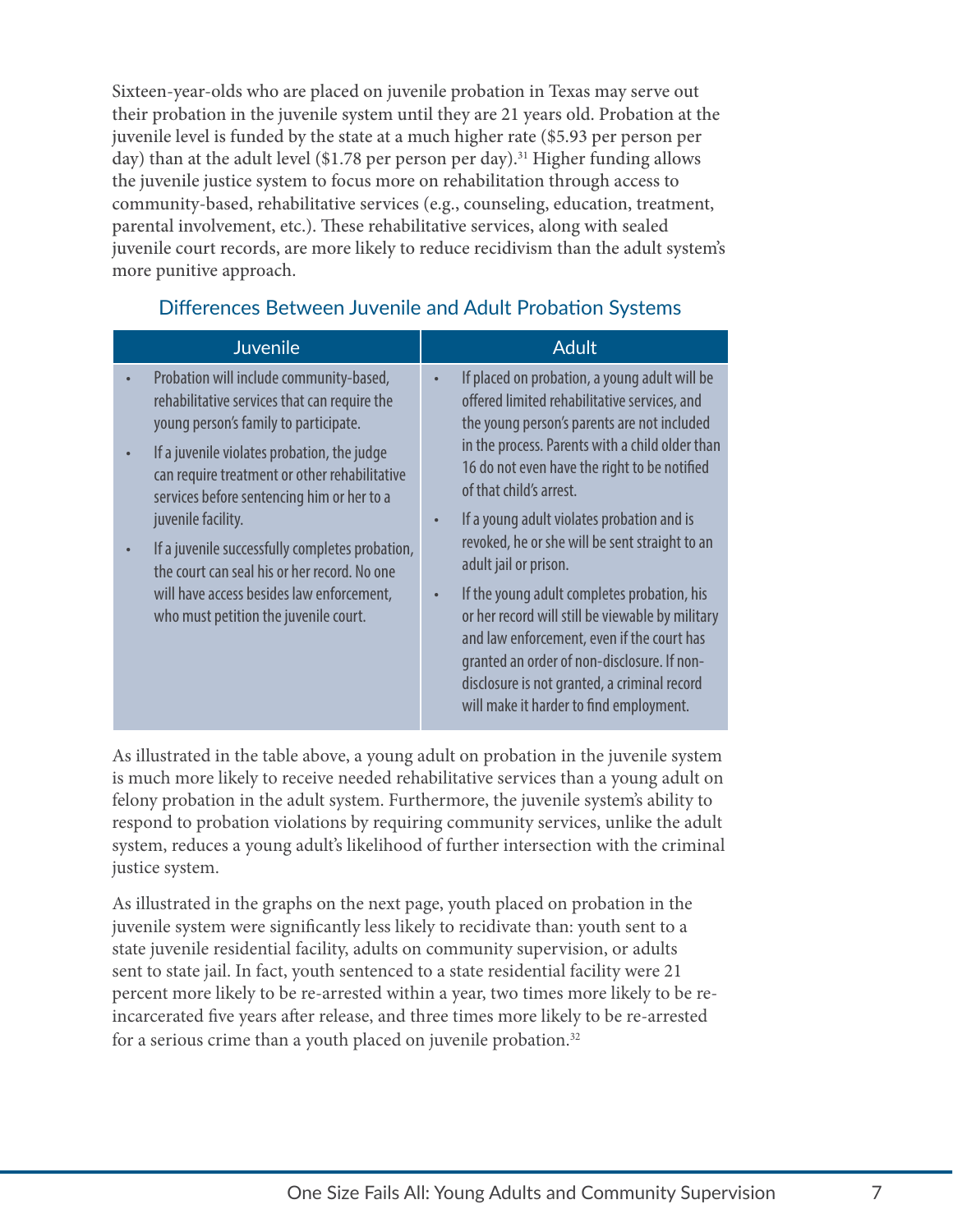Sixteen-year-olds who are placed on juvenile probation in Texas may serve out their probation in the juvenile system until they are 21 years old. Probation at the juvenile level is funded by the state at a much higher rate (\$5.93 per person per day) than at the adult level (\$1.78 per person per day).<sup>[31](#page-16-30)</sup> Higher funding allows the juvenile justice system to focus more on rehabilitation through access to community-based, rehabilitative services (e.g., counseling, education, treatment, parental involvement, etc.). These rehabilitative services, along with sealed juvenile court records, are more likely to reduce recidivism than the adult system's more punitive approach.

#### Differences Between Juvenile and Adult Probation Systems

| <b>Juvenile</b>                                                                                                                                                                                                                                                                                                                                                                                                                                                                                                                      | <b>Adult</b>                                                                                                                                                                                                                                                                                                                                                                                                                                                                                                                                                                                                                                                                                   |
|--------------------------------------------------------------------------------------------------------------------------------------------------------------------------------------------------------------------------------------------------------------------------------------------------------------------------------------------------------------------------------------------------------------------------------------------------------------------------------------------------------------------------------------|------------------------------------------------------------------------------------------------------------------------------------------------------------------------------------------------------------------------------------------------------------------------------------------------------------------------------------------------------------------------------------------------------------------------------------------------------------------------------------------------------------------------------------------------------------------------------------------------------------------------------------------------------------------------------------------------|
| Probation will include community-based,<br>$\bullet$<br>rehabilitative services that can require the<br>young person's family to participate.<br>If a juvenile violates probation, the judge<br>$\bullet$<br>can require treatment or other rehabilitative<br>services before sentencing him or her to a<br>juvenile facility.<br>If a juvenile successfully completes probation,<br>$\bullet$<br>the court can seal his or her record. No one<br>will have access besides law enforcement,<br>who must petition the juvenile court. | If placed on probation, a young adult will be<br>offered limited rehabilitative services, and<br>the young person's parents are not included<br>in the process. Parents with a child older than<br>16 do not even have the right to be notified<br>of that child's arrest.<br>If a young adult violates probation and is<br>revoked, he or she will be sent straight to an<br>adult jail or prison.<br>If the young adult completes probation, his<br>or her record will still be viewable by military<br>and law enforcement, even if the court has<br>granted an order of non-disclosure. If non-<br>disclosure is not granted, a criminal record<br>will make it harder to find employment. |

As illustrated in the table above, a young adult on probation in the juvenile system is much more likely to receive needed rehabilitative services than a young adult on felony probation in the adult system. Furthermore, the juvenile system's ability to respond to probation violations by requiring community services, unlike the adult system, reduces a young adult's likelihood of further intersection with the criminal justice system.

As illustrated in the graphs on the next page, youth placed on probation in the juvenile system were significantly less likely to recidivate than: youth sent to a state juvenile residential facility, adults on community supervision, or adults sent to state jail. In fact, youth sentenced to a state residential facility were 21 percent more likely to be re-arrested within a year, two times more likely to be reincarcerated five years after release, and three times more likely to be re-arrested for a serious crime than a youth placed on juvenile probation.<sup>32</sup>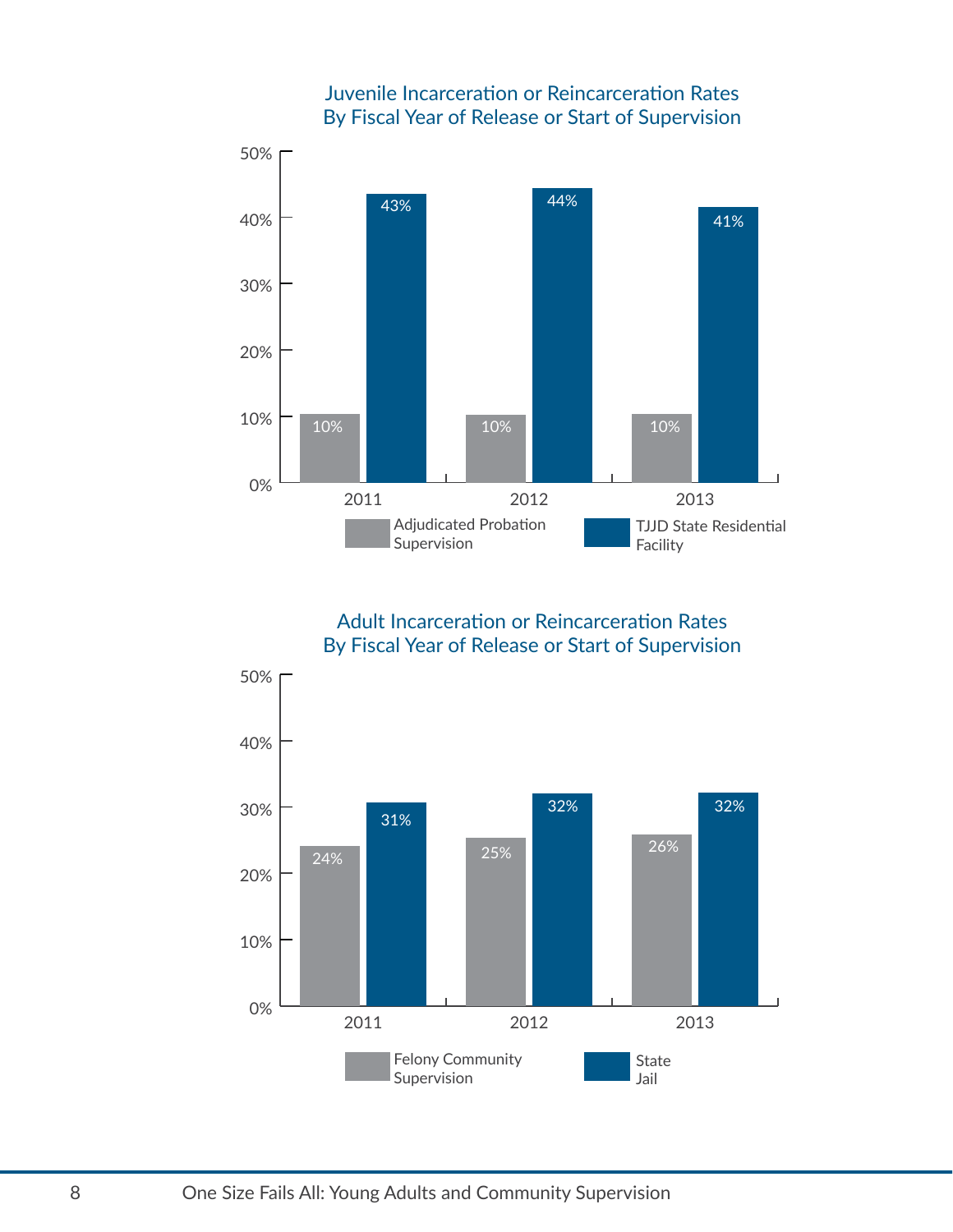

Juvenile Incarceration or Reincarceration Rates

Adult Incarceration or Reincarceration Rates By Fiscal Year of Release or Start of Supervision

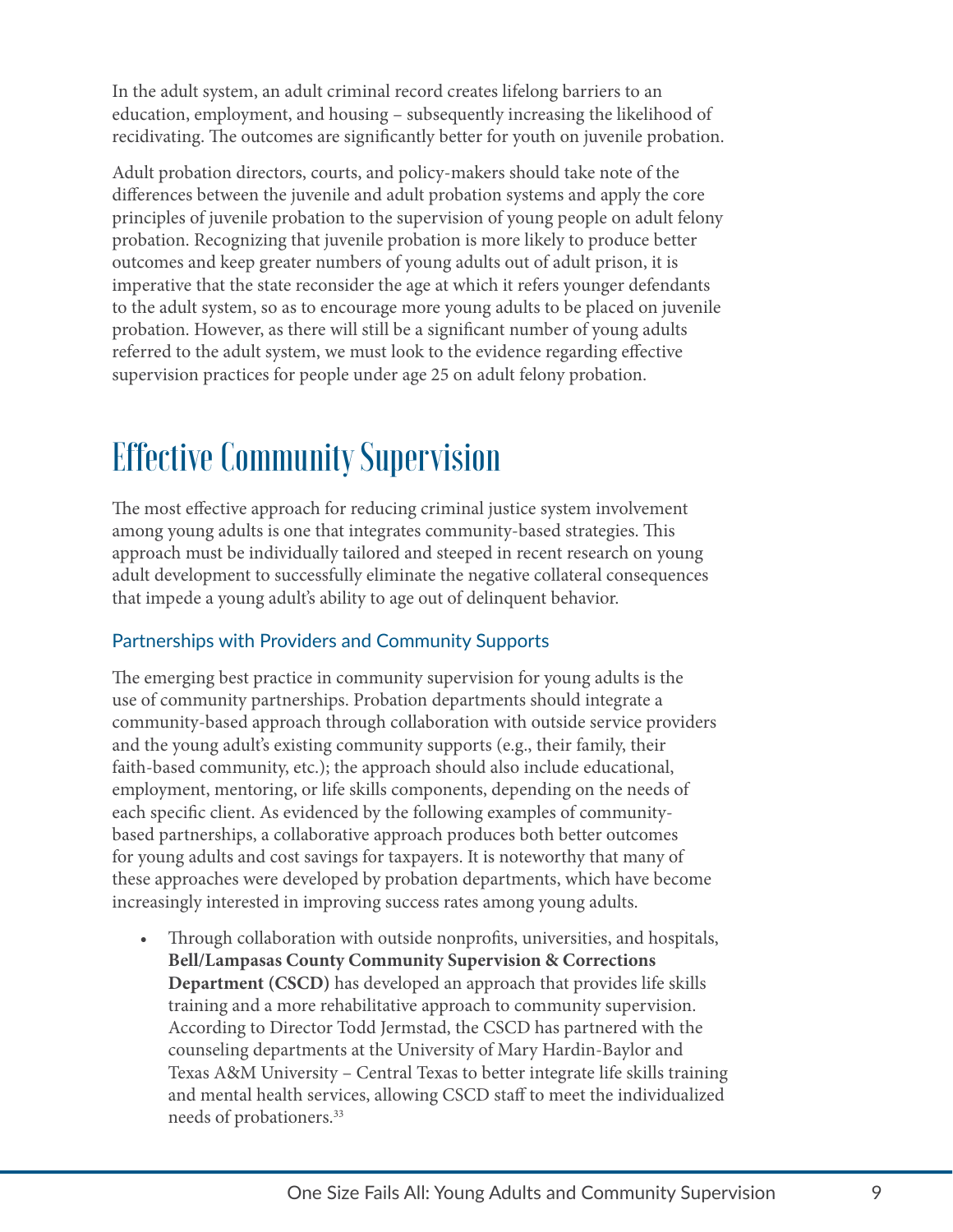In the adult system, an adult criminal record creates lifelong barriers to an education, employment, and housing – subsequently increasing the likelihood of recidivating. The outcomes are significantly better for youth on juvenile probation.

Adult probation directors, courts, and policy-makers should take note of the differences between the juvenile and adult probation systems and apply the core principles of juvenile probation to the supervision of young people on adult felony probation. Recognizing that juvenile probation is more likely to produce better outcomes and keep greater numbers of young adults out of adult prison, it is imperative that the state reconsider the age at which it refers younger defendants to the adult system, so as to encourage more young adults to be placed on juvenile probation. However, as there will still be a significant number of young adults referred to the adult system, we must look to the evidence regarding effective supervision practices for people under age 25 on adult felony probation.

### Effective Community Supervision

The most effective approach for reducing criminal justice system involvement among young adults is one that integrates community-based strategies. This approach must be individually tailored and steeped in recent research on young adult development to successfully eliminate the negative collateral consequences that impede a young adult's ability to age out of delinquent behavior.

#### Partnerships with Providers and Community Supports

The emerging best practice in community supervision for young adults is the use of community partnerships. Probation departments should integrate a community-based approach through collaboration with outside service providers and the young adult's existing community supports (e.g., their family, their faith-based community, etc.); the approach should also include educational, employment, mentoring, or life skills components, depending on the needs of each specific client. As evidenced by the following examples of communitybased partnerships, a collaborative approach produces both better outcomes for young adults and cost savings for taxpayers. It is noteworthy that many of these approaches were developed by probation departments, which have become increasingly interested in improving success rates among young adults.

• Through collaboration with outside nonprofits, universities, and hospitals, **Bell/Lampasas County Community Supervision & Corrections Department (CSCD)** has developed an approach that provides life skills training and a more rehabilitative approach to community supervision. According to Director Todd Jermstad, the CSCD has partnered with the counseling departments at the University of Mary Hardin-Baylor and Texas A&M University – Central Texas to better integrate life skills training and mental health services, allowing CSCD staff to meet the individualized needs of probationers[.33](#page-16-32)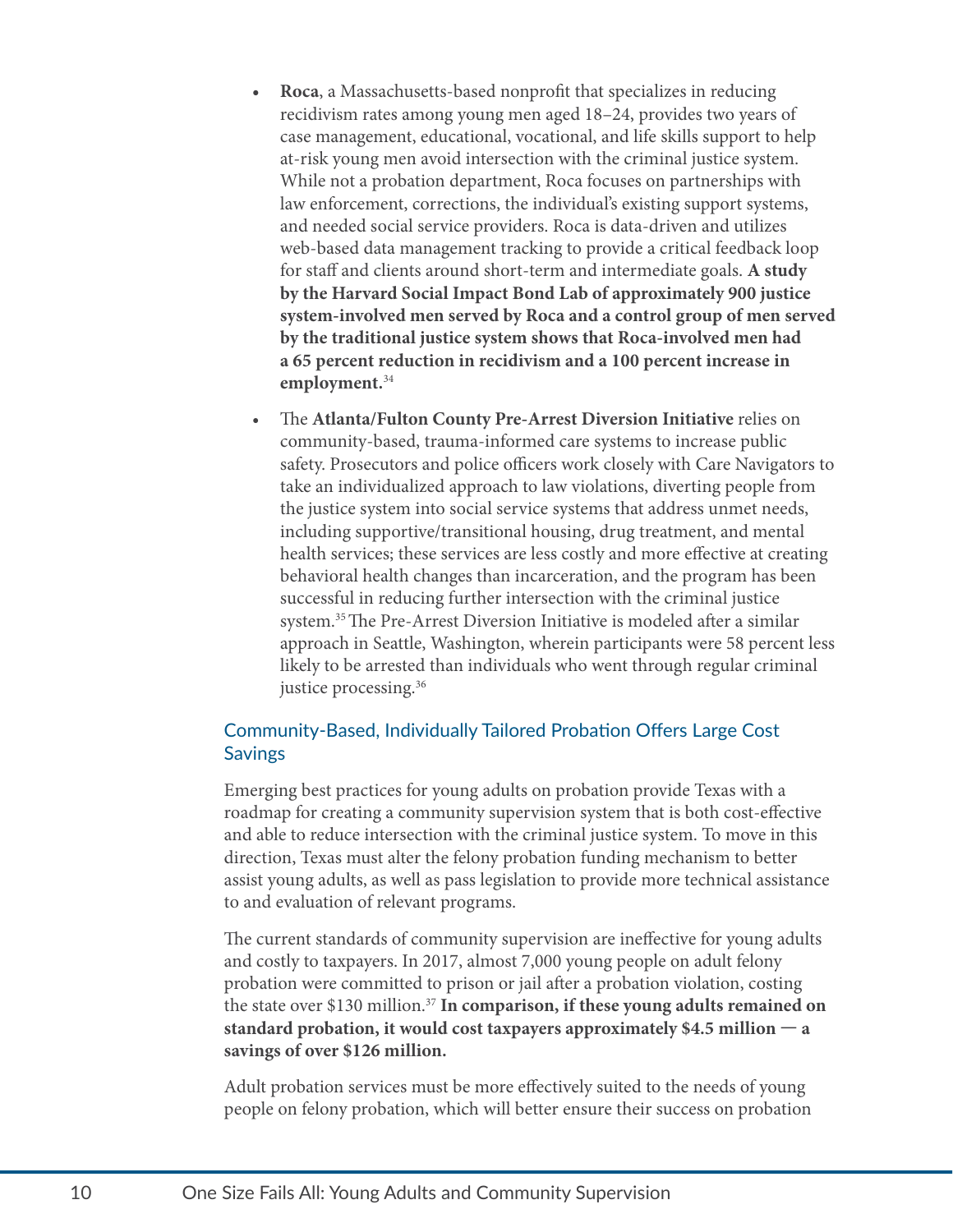- **• Roca**, a Massachusetts-based nonprofit that specializes in reducing recidivism rates among young men aged 18–24, provides two years of case management, educational, vocational, and life skills support to help at-risk young men avoid intersection with the criminal justice system. While not a probation department, Roca focuses on partnerships with law enforcement, corrections, the individual's existing support systems, and needed social service providers. Roca is data-driven and utilizes web-based data management tracking to provide a critical feedback loop for staff and clients around short-term and intermediate goals. **A study by the Harvard Social Impact Bond Lab of approximately 900 justice system-involved men served by Roca and a control group of men served by the traditional justice system shows that Roca-involved men had a 65 percent reduction in recidivism and a 100 percent increase in employment.**[34](#page-16-33)
- The **Atlanta/Fulton County Pre-Arrest Diversion Initiative** relies on community-based, trauma-informed care systems to increase public safety. Prosecutors and police officers work closely with Care Navigators to take an individualized approach to law violations, diverting people from the justice system into social service systems that address unmet needs, including supportive/transitional housing, drug treatment, and mental health services; these services are less costly and more effective at creating behavioral health changes than incarceration, and the program has been successful in reducing further intersection with the criminal justice system.[35](#page-16-34) The Pre-Arrest Diversion Initiative is modeled after a similar approach in Seattle, Washington, wherein participants were 58 percent less likely to be arrested than individuals who went through regular criminal justice processing[.36](#page-16-35)

#### Community-Based, Individually Tailored Probation Offers Large Cost **Savings**

Emerging best practices for young adults on probation provide Texas with a roadmap for creating a community supervision system that is both cost-effective and able to reduce intersection with the criminal justice system. To move in this direction, Texas must alter the felony probation funding mechanism to better assist young adults, as well as pass legislation to provide more technical assistance to and evaluation of relevant programs.

The current standards of community supervision are ineffective for young adults and costly to taxpayers. In 2017, almost 7,000 young people on adult felony probation were committed to prison or jail after a probation violation, costing the state over \$130 million.[37](#page-16-36) **In comparison, if these young adults remained on standard probation, it would cost taxpayers approximately \$4.5 million — a savings of over \$126 million.**

Adult probation services must be more effectively suited to the needs of young people on felony probation, which will better ensure their success on probation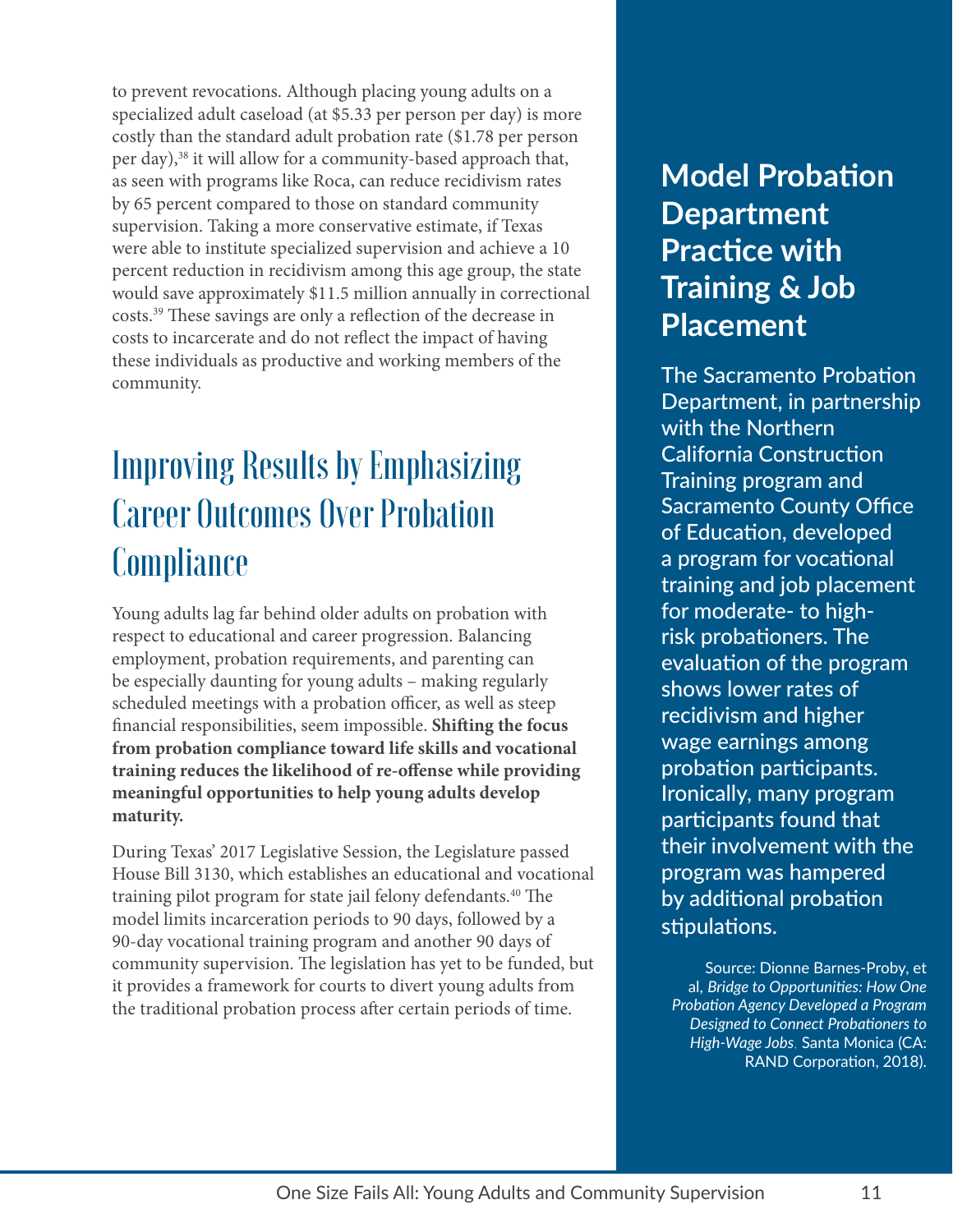to prevent revocations. Although placing young adults on a specialized adult caseload (at \$5.33 per person per day) is more costly than the standard adult probation rate (\$1.78 per person per day),<sup>38</sup> it will allow for a community-based approach that, as seen with programs like Roca, can reduce recidivism rates by 65 percent compared to those on standard community supervision. Taking a more conservative estimate, if Texas were able to institute specialized supervision and achieve a 10 percent reduction in recidivism among this age group, the state would save approximately \$11.5 million annually in correctional costs[.39](#page-16-38) These savings are only a reflection of the decrease in costs to incarcerate and do not reflect the impact of having these individuals as productive and working members of the community.

### Improving Results by Emphasizing Career Outcomes Over Probation **Compliance**

Young adults lag far behind older adults on probation with respect to educational and career progression. Balancing employment, probation requirements, and parenting can be especially daunting for young adults – making regularly scheduled meetings with a probation officer, as well as steep financial responsibilities, seem impossible. **Shifting the focus from probation compliance toward life skills and vocational training reduces the likelihood of re-offense while providing meaningful opportunities to help young adults develop maturity.**

During Texas' 2017 Legislative Session, the Legislature passed House Bill 3130, which establishes an educational and vocational training pilot program for state jail felony defendants.[40](#page-16-39) The model limits incarceration periods to 90 days, followed by a 90-day vocational training program and another 90 days of community supervision. The legislation has yet to be funded, but it provides a framework for courts to divert young adults from the traditional probation process after certain periods of time.

### **Model Probation Department Practice with Training & Job Placement**

The Sacramento Probation Department, in partnership with the Northern California Construction Training program and Sacramento County Office of Education, developed a program for vocational training and job placement for moderate- to highrisk probationers. The evaluation of the program shows lower rates of recidivism and higher wage earnings among probation participants. Ironically, many program participants found that their involvement with the program was hampered by additional probation stipulations.

Source: Dionne Barnes-Proby, et al, *Bridge to Opportunities: How One Probation Agency Developed a Program Designed to Connect Probationers to High-Wage Jobs*, Santa Monica (CA: RAND Corporation, 2018).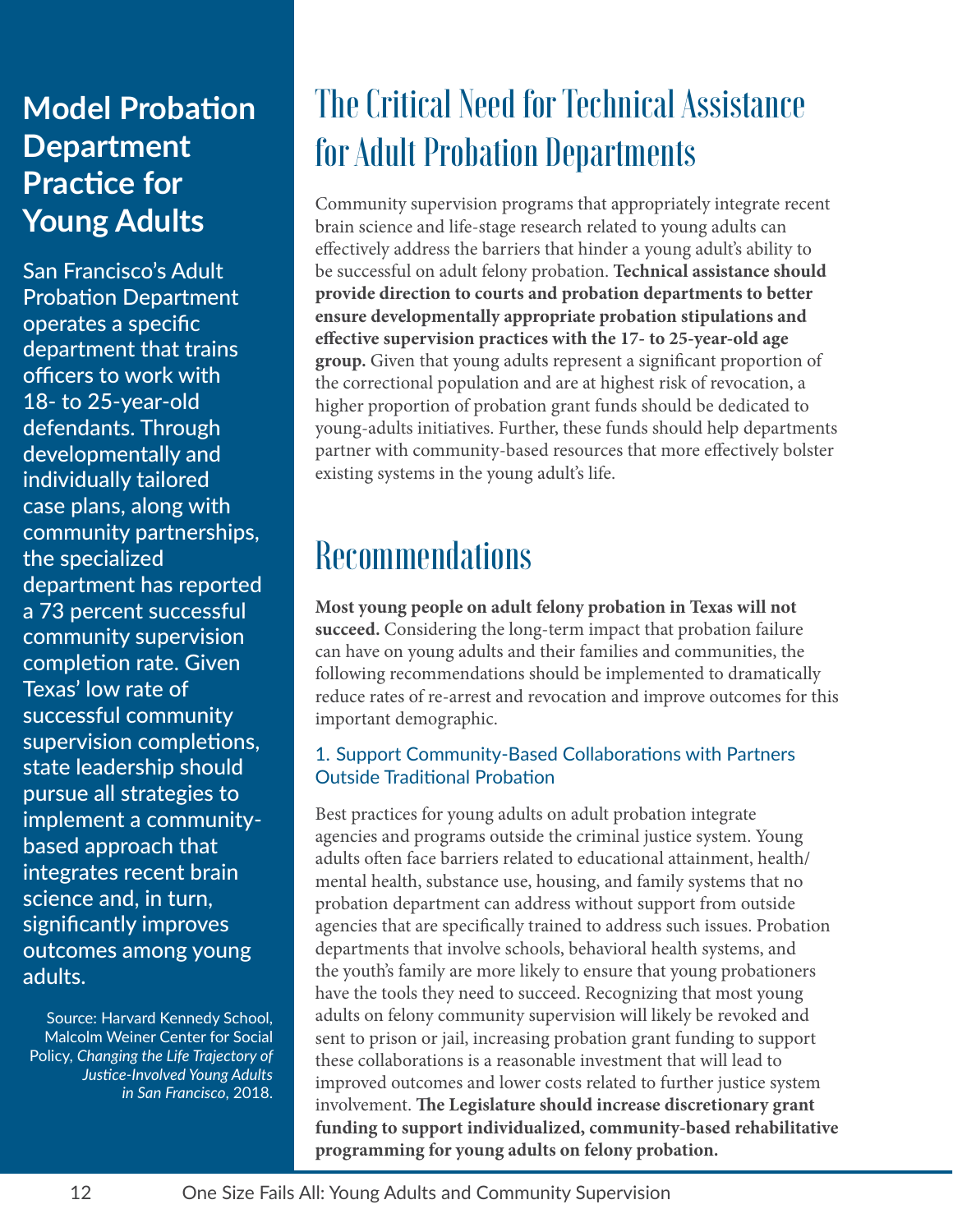### **Model Probation Department Practice for Young Adults**

San Francisco's Adult Probation Department operates a specific department that trains officers to work with 18- to 25-year-old defendants. Through developmentally and individually tailored case plans, along with community partnerships, the specialized department has reported a 73 percent successful community supervision completion rate. Given Texas' low rate of successful community supervision completions, state leadership should pursue all strategies to implement a communitybased approach that integrates recent brain science and, in turn, significantly improves outcomes among young adults.

Source: Harvard Kennedy School, Malcolm Weiner Center for Social Policy, *Changing the Life Trajectory of Justice-Involved Young Adults in San Francisco*, 2018.

### The Critical Need for Technical Assistance for Adult Probation Departments

Community supervision programs that appropriately integrate recent brain science and life-stage research related to young adults can effectively address the barriers that hinder a young adult's ability to be successful on adult felony probation. **Technical assistance should provide direction to courts and probation departments to better ensure developmentally appropriate probation stipulations and effective supervision practices with the 17- to 25-year-old age group.** Given that young adults represent a significant proportion of the correctional population and are at highest risk of revocation, a higher proportion of probation grant funds should be dedicated to young-adults initiatives. Further, these funds should help departments partner with community-based resources that more effectively bolster existing systems in the young adult's life.

### **Recommendations**

**Most young people on adult felony probation in Texas will not succeed.** Considering the long-term impact that probation failure can have on young adults and their families and communities, the following recommendations should be implemented to dramatically reduce rates of re-arrest and revocation and improve outcomes for this important demographic.

#### 1. Support Community-Based Collaborations with Partners Outside Traditional Probation

Best practices for young adults on adult probation integrate agencies and programs outside the criminal justice system. Young adults often face barriers related to educational attainment, health/ mental health, substance use, housing, and family systems that no probation department can address without support from outside agencies that are specifically trained to address such issues. Probation departments that involve schools, behavioral health systems, and the youth's family are more likely to ensure that young probationers have the tools they need to succeed. Recognizing that most young adults on felony community supervision will likely be revoked and sent to prison or jail, increasing probation grant funding to support these collaborations is a reasonable investment that will lead to improved outcomes and lower costs related to further justice system involvement. **The Legislature should increase discretionary grant funding to support individualized, community-based rehabilitative programming for young adults on felony probation.**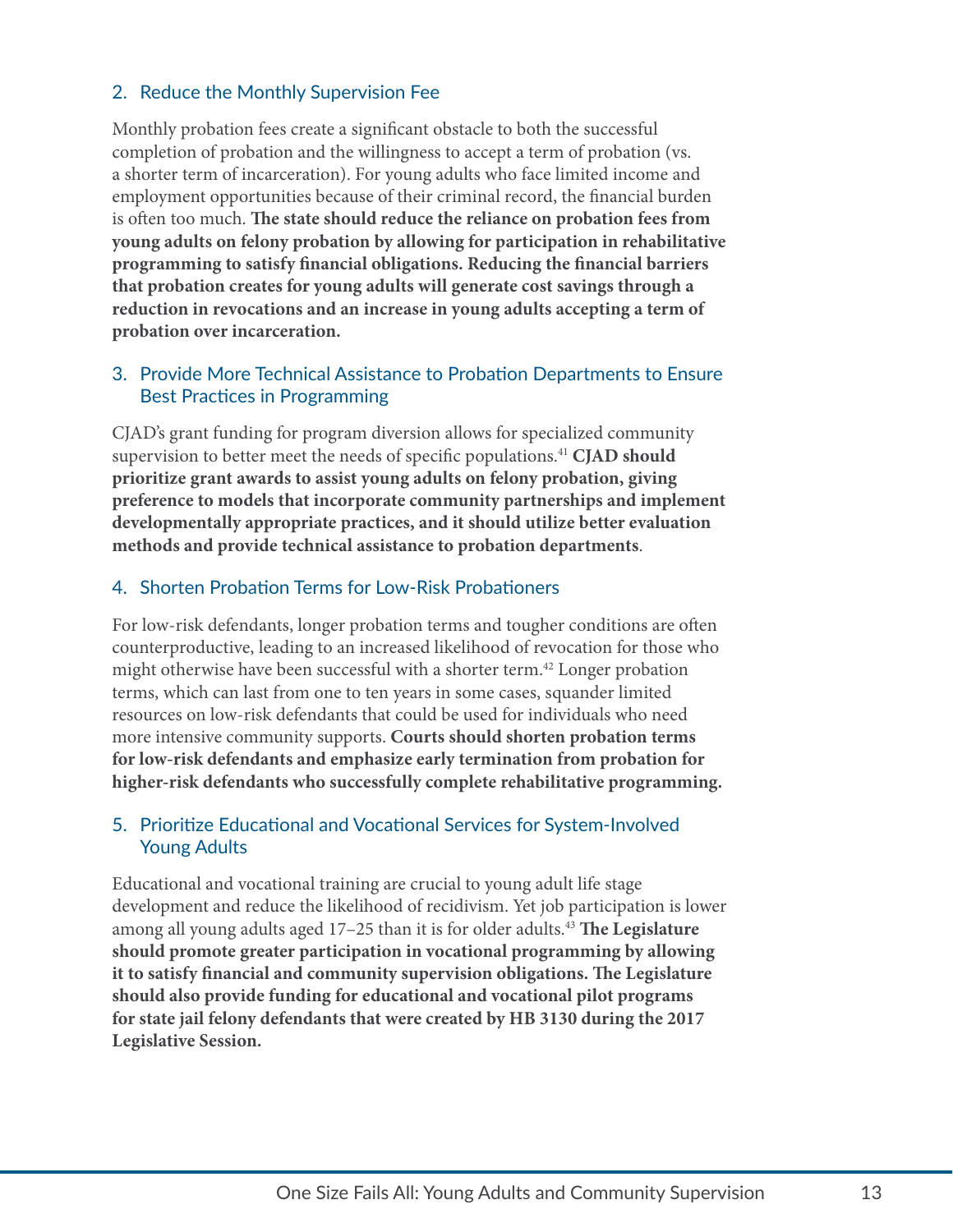#### 2. Reduce the Monthly Supervision Fee

Monthly probation fees create a significant obstacle to both the successful completion of probation and the willingness to accept a term of probation (vs. a shorter term of incarceration). For young adults who face limited income and employment opportunities because of their criminal record, the financial burden is often too much. **The state should reduce the reliance on probation fees from young adults on felony probation by allowing for participation in rehabilitative programming to satisfy financial obligations. Reducing the financial barriers that probation creates for young adults will generate cost savings through a reduction in revocations and an increase in young adults accepting a term of probation over incarceration.**

#### 3. Provide More Technical Assistance to Probation Departments to Ensure Best Practices in Programming

CJAD's grant funding for program diversion allows for specialized community supervision to better meet the needs of specific populations.[41](#page-16-40) **CJAD should prioritize grant awards to assist young adults on felony probation, giving preference to models that incorporate community partnerships and implement developmentally appropriate practices, and it should utilize better evaluation methods and provide technical assistance to probation departments**.

#### 4. Shorten Probation Terms for Low-Risk Probationers

For low-risk defendants, longer probation terms and tougher conditions are often counterproductive, leading to an increased likelihood of revocation for those who might otherwise have been successful with a shorter term.<sup>42</sup> Longer probation terms, which can last from one to ten years in some cases, squander limited resources on low-risk defendants that could be used for individuals who need more intensive community supports. **Courts should shorten probation terms for low-risk defendants and emphasize early termination from probation for higher-risk defendants who successfully complete rehabilitative programming.** 

#### 5. Prioritize Educational and Vocational Services for System-Involved Young Adults

Educational and vocational training are crucial to young adult life stage development and reduce the likelihood of recidivism. Yet job participation is lower among all young adults aged 17–25 than it is for older adults[.43](#page-16-42) **The Legislature should promote greater participation in vocational programming by allowing it to satisfy financial and community supervision obligations. The Legislature should also provide funding for educational and vocational pilot programs for state jail felony defendants that were created by HB 3130 during the 2017 Legislative Session.**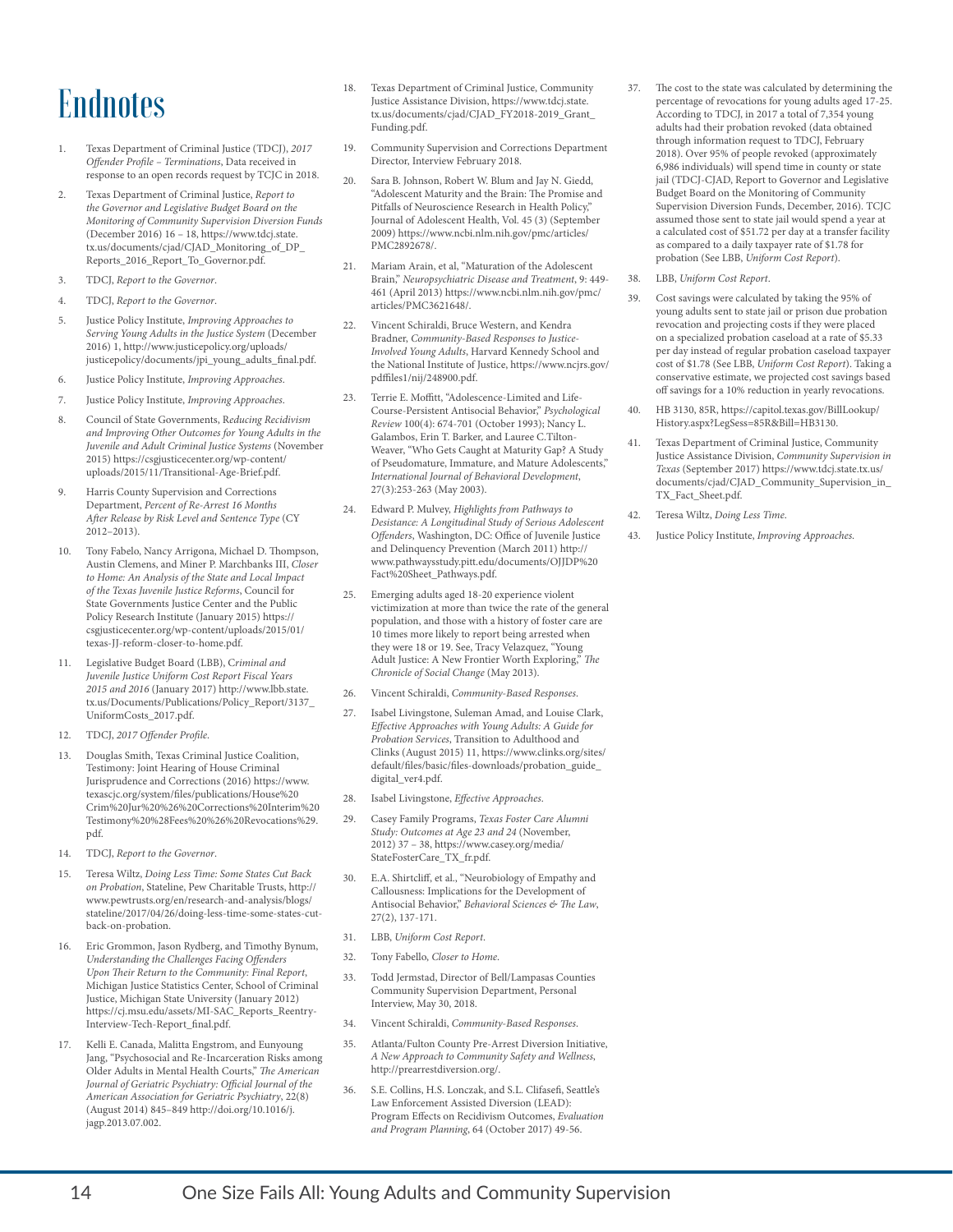### **Endnotes**

- <span id="page-16-0"></span>1. Texas Department of Criminal Justice (TDCJ), *2017 Offender Profile – Terminations*, Data received in response to an open records request by TCJC in 2018.
- <span id="page-16-1"></span>2. Texas Department of Criminal Justice, *Report to the Governor and Legislative Budget Board on the Monitoring of Community Supervision Diversion Funds* (December 2016) 16 – 18, [https://www.tdcj.state.](https://www.tdcj.state.tx.us/documents/cjad/CJAD_Monitoring_of_DP_Reports_2016_Report_To_Governor.pdf) [tx.us/documents/cjad/CJAD\\_Monitoring\\_of\\_DP\\_](https://www.tdcj.state.tx.us/documents/cjad/CJAD_Monitoring_of_DP_Reports_2016_Report_To_Governor.pdf) [Reports\\_2016\\_Report\\_To\\_Governor.pdf](https://www.tdcj.state.tx.us/documents/cjad/CJAD_Monitoring_of_DP_Reports_2016_Report_To_Governor.pdf).
- <span id="page-16-2"></span>3. TDCJ, *Report to the Governor*.
- <span id="page-16-3"></span>4. TDCJ, *Report to the Governor*.
- <span id="page-16-4"></span>5. Justice Policy Institute, *Improving Approaches to Serving Young Adults in the Justice System* (December 2016) 1, [http://www.justicepolicy.org/uploads/](http://www.justicepolicy.org/uploads/justicepolicy/documents/jpi_young_adults_final.pdf) [justicepolicy/documents/jpi\\_young\\_adults\\_final.pdf.](http://www.justicepolicy.org/uploads/justicepolicy/documents/jpi_young_adults_final.pdf)
- <span id="page-16-5"></span>6. Justice Policy Institute, *Improving Approaches*.
- <span id="page-16-6"></span>7. Justice Policy Institute, *Improving Approaches*.
- <span id="page-16-7"></span>8. Council of State Governments, R*educing Recidivism and Improving Other Outcomes for Young Adults in the Juvenile and Adult Criminal Justice Systems* (November 2015) [https://csgjusticecenter.org/wp-content/](https://csgjusticecenter.org/wp-content/uploads/2015/11/Transitional-Age-Brief.pdf) [uploads/2015/11/Transitional-Age-Brief.pdf.](https://csgjusticecenter.org/wp-content/uploads/2015/11/Transitional-Age-Brief.pdf)
- <span id="page-16-8"></span>9. Harris County Supervision and Corrections Department, *Percent of Re-Arrest 16 Months After Release by Risk Level and Sentence Type* (CY 2012–2013).
- <span id="page-16-9"></span>10. Tony Fabelo, Nancy Arrigona, Michael D. Thompson, Austin Clemens, and Miner P. Marchbanks III, *Closer to Home: An Analysis of the State and Local Impact of the Texas Juvenile Justice Reforms*, Council for State Governments Justice Center and the Public Policy Research Institute (January 2015) [https://](https://csgjusticecenter.org/wp-content/uploads/2015/01/texas-JJ-reform-closer-to-home.pdf) [csgjusticecenter.org/wp-content/uploads/2015/01/](https://csgjusticecenter.org/wp-content/uploads/2015/01/texas-JJ-reform-closer-to-home.pdf) [texas-JJ-reform-closer-to-home.pdf.](https://csgjusticecenter.org/wp-content/uploads/2015/01/texas-JJ-reform-closer-to-home.pdf)
- <span id="page-16-10"></span>11. Legislative Budget Board (LBB), C*riminal and Juvenile Justice Uniform Cost Report Fiscal Years 2015 and 2016* (January 2017) [http://www.lbb.state.](http://www.lbb.state.tx.us/Documents/Publications/Policy_Report/3137_UniformCosts_2017.pdf) [tx.us/Documents/Publications/Policy\\_Report/3137\\_](http://www.lbb.state.tx.us/Documents/Publications/Policy_Report/3137_UniformCosts_2017.pdf) [UniformCosts\\_2017.pdf](http://www.lbb.state.tx.us/Documents/Publications/Policy_Report/3137_UniformCosts_2017.pdf).
- <span id="page-16-11"></span>12. TDCJ, *2017 Offender Profile*.
- <span id="page-16-12"></span>13. Douglas Smith, Texas Criminal Justice Coalition, Testimony: Joint Hearing of House Criminal Jurisprudence and Corrections (2016) [https://www.](https://www.texascjc.org/system/files/publications/House%20Crim%20Jur%20%26%20Corrections%20Interim%20Testimony%20%28Fees%20%26%20Revocations%29.pdf) [texascjc.org/system/files/publications/House%20](https://www.texascjc.org/system/files/publications/House%20Crim%20Jur%20%26%20Corrections%20Interim%20Testimony%20%28Fees%20%26%20Revocations%29.pdf) [Crim%20Jur%20%26%20Corrections%20Interim%20](https://www.texascjc.org/system/files/publications/House%20Crim%20Jur%20%26%20Corrections%20Interim%20Testimony%20%28Fees%20%26%20Revocations%29.pdf) [Testimony%20%28Fees%20%26%20Revocations%29.](https://www.texascjc.org/system/files/publications/House%20Crim%20Jur%20%26%20Corrections%20Interim%20Testimony%20%28Fees%20%26%20Revocations%29.pdf) [pdf.](https://www.texascjc.org/system/files/publications/House%20Crim%20Jur%20%26%20Corrections%20Interim%20Testimony%20%28Fees%20%26%20Revocations%29.pdf)
- <span id="page-16-13"></span>14. TDCJ, *Report to the Governor*.
- <span id="page-16-14"></span>15. Teresa Wiltz, *Doing Less Time: Some States Cut Back on Probation*, Stateline, Pew Charitable Trusts, [http://](http://www.pewtrusts.org/en/research-and-analysis/blogs/stateline/2017/04/26/doing-less-time-some-states-cut-back-on-probation) [www.pewtrusts.org/en/research-and-analysis/blogs/](http://www.pewtrusts.org/en/research-and-analysis/blogs/stateline/2017/04/26/doing-less-time-some-states-cut-back-on-probation) [stateline/2017/04/26/doing-less-time-some-states-cut](http://www.pewtrusts.org/en/research-and-analysis/blogs/stateline/2017/04/26/doing-less-time-some-states-cut-back-on-probation)[back-on-probation](http://www.pewtrusts.org/en/research-and-analysis/blogs/stateline/2017/04/26/doing-less-time-some-states-cut-back-on-probation).
- <span id="page-16-15"></span>16. Eric Grommon, Jason Rydberg, and Timothy Bynum, *Understanding the Challenges Facing Offenders Upon Their Return to the Community: Final Report*, Michigan Justice Statistics Center, School of Criminal Justice, Michigan State University (January 2012) [https://cj.msu.edu/assets/MI-SAC\\_Reports\\_Reentry-](https://cj.msu.edu/assets/MI-SAC_Reports_Reentry-Interview-Tech-Report_final.pdf)[Interview-Tech-Report\\_final.pdf.](https://cj.msu.edu/assets/MI-SAC_Reports_Reentry-Interview-Tech-Report_final.pdf)
- <span id="page-16-16"></span>17. Kelli E. Canada, Malitta Engstrom, and Eunyoung Jang, "Psychosocial and Re-Incarceration Risks among Older Adults in Mental Health Courts," *The American Journal of Geriatric Psychiatry: Official Journal of the American Association for Geriatric Psychiatry*, 22(8) (August 2014) 845–849 [http://doi.org/10.1016/j.](http://doi.org/10.1016/j.jagp.2013.07.002) [jagp.2013.07.002](http://doi.org/10.1016/j.jagp.2013.07.002).
- <span id="page-16-17"></span>18. Texas Department of Criminal Justice, Community Justice Assistance Division, [https://www.tdcj.state.](https://www.tdcj.state.tx.us/documents/cjad/CJAD_FY2018-2019_Grant_Funding.pdf) [tx.us/documents/cjad/CJAD\\_FY2018-2019\\_Grant\\_](https://www.tdcj.state.tx.us/documents/cjad/CJAD_FY2018-2019_Grant_Funding.pdf) [Funding.pdf](https://www.tdcj.state.tx.us/documents/cjad/CJAD_FY2018-2019_Grant_Funding.pdf).
- <span id="page-16-18"></span>19. Community Supervision and Corrections Department Director, Interview February 2018.
- <span id="page-16-19"></span>20. Sara B. Johnson, Robert W. Blum and Jay N. Giedd, "Adolescent Maturity and the Brain: The Promise and Pitfalls of Neuroscience Research in Health Policy, Journal of Adolescent Health, Vol. 45 (3) (September 2009) [https://www.ncbi.nlm.nih.gov/pmc/articles/](https://www.ncbi.nlm.nih.gov/pmc/articles/PMC2892678/) [PMC2892678/](https://www.ncbi.nlm.nih.gov/pmc/articles/PMC2892678/).
- <span id="page-16-20"></span>21. Mariam Arain, et al, "Maturation of the Adolescent Brain," *Neuropsychiatric Disease and Treatment*, 9: 449- 461 (April 2013) [https://www.ncbi.nlm.nih.gov/pmc/](https://www.ncbi.nlm.nih.gov/pmc/articles/PMC3621648/) [articles/PMC3621648/](https://www.ncbi.nlm.nih.gov/pmc/articles/PMC3621648/).
- <span id="page-16-21"></span>22. Vincent Schiraldi, Bruce Western, and Kendra Bradner, *Community-Based Responses to Justice-Involved Young Adults*, Harvard Kennedy School and the National Institute of Justice, [https://www.ncjrs.gov/](https://www.ncjrs.gov/pdffiles1/nij/248900.pdf) [pdffiles1/nij/248900.pdf](https://www.ncjrs.gov/pdffiles1/nij/248900.pdf).
- <span id="page-16-22"></span>23. Terrie E. Moffitt, "Adolescence-Limited and Life-Course-Persistent Antisocial Behavior," *Psychological Review* 100(4): 674-701 (October 1993); Nancy L. Galambos, Erin T. Barker, and Lauree C.Tilton-Weaver, "Who Gets Caught at Maturity Gap? A Study of Pseudomature, Immature, and Mature Adolescents," *International Journal of Behavioral Development*, 27(3):253-263 (May 2003).
- <span id="page-16-23"></span>24. Edward P. Mulvey, *Highlights from Pathways to Desistance: A Longitudinal Study of Serious Adolescent Offenders*, Washington, DC: Office of Juvenile Justice and Delinquency Prevention (March 2011) [http://](http://www.pathwaysstudy.pitt.edu/documents/OJJDP%20Fact%20Sheet_Pathways.pdf) [www.pathwaysstudy.pitt.edu/documents/OJJDP%20](http://www.pathwaysstudy.pitt.edu/documents/OJJDP%20Fact%20Sheet_Pathways.pdf) [Fact%20Sheet\\_Pathways.pdf.](http://www.pathwaysstudy.pitt.edu/documents/OJJDP%20Fact%20Sheet_Pathways.pdf)
- <span id="page-16-24"></span>25. Emerging adults aged 18-20 experience violent victimization at more than twice the rate of the general population, and those with a history of foster care are 10 times more likely to report being arrested when they were 18 or 19. See, Tracy Velazquez, "Young Adult Justice: A New Frontier Worth Exploring," *The Chronicle of Social Change* (May 2013).
- <span id="page-16-25"></span>26. Vincent Schiraldi, *Community-Based Responses*.
- <span id="page-16-26"></span>27. Isabel Livingstone, Suleman Amad, and Louise Clark, *Effective Approaches with Young Adults: A Guide for Probation Services*, Transition to Adulthood and Clinks (August 2015) 11, [https://www.clinks.org/sites/](https://www.clinks.org/sites/default/files/basic/files-downloads/probation_guide_digital_ver4.pdf) [default/files/basic/files-downloads/probation\\_guide\\_](https://www.clinks.org/sites/default/files/basic/files-downloads/probation_guide_digital_ver4.pdf) [digital\\_ver4.pdf.](https://www.clinks.org/sites/default/files/basic/files-downloads/probation_guide_digital_ver4.pdf)
- <span id="page-16-27"></span>28. Isabel Livingstone, *Effective Approaches*.
- <span id="page-16-28"></span>29. Casey Family Programs, *Texas Foster Care Alumni Study: Outcomes at Age 23 and 24* (November, 2012) 37 – 38, [https://www.casey.org/media/](https://www.casey.org/media/StateFosterCare_TX_fr.pdf) [StateFosterCare\\_TX\\_fr.pdf.](https://www.casey.org/media/StateFosterCare_TX_fr.pdf)
- <span id="page-16-29"></span>30. E.A. Shirtcliff, et al., "Neurobiology of Empathy and Callousness: Implications for the Development of Antisocial Behavior," *Behavioral Sciences & The Law*, 27(2), 137-171.
- <span id="page-16-30"></span>31. LBB, *Uniform Cost Report*.
- <span id="page-16-31"></span>32. Tony Fabello, *Closer to Home*.
- <span id="page-16-32"></span>33. Todd Jermstad, Director of Bell/Lampasas Counties Community Supervision Department, Personal Interview, May 30, 2018.
- <span id="page-16-33"></span>34. Vincent Schiraldi, *Community-Based Responses*.
- <span id="page-16-34"></span>35. Atlanta/Fulton County Pre-Arrest Diversion Initiative, *A New Approach to Community Safety and Wellness*, <http://prearrestdiversion.org/>.
- <span id="page-16-35"></span>36. S.E. Collins, H.S. Lonczak, and S.L. Clifasefi, Seattle's Law Enforcement Assisted Diversion (LEAD): Program Effects on Recidivism Outcomes, *Evaluation and Program Planning*, 64 (October 2017) 49-56.
- <span id="page-16-36"></span>37. The cost to the state was calculated by determining the percentage of revocations for young adults aged 17-25. According to TDCJ, in 2017 a total of 7,354 young adults had their probation revoked (data obtained through information request to TDCJ, February 2018). Over 95% of people revoked (approximately 6,986 individuals) will spend time in county or state jail (TDCJ-CJAD, Report to Governor and Legislative Budget Board on the Monitoring of Community Supervision Diversion Funds, December, 2016). TCJC assumed those sent to state jail would spend a year at a calculated cost of \$51.72 per day at a transfer facility as compared to a daily taxpayer rate of \$1.78 for probation (See LBB, *Uniform Cost Report*).
- <span id="page-16-37"></span>38. LBB, *Uniform Cost Report*.
- <span id="page-16-38"></span>39. Cost savings were calculated by taking the 95% of young adults sent to state jail or prison due probation revocation and projecting costs if they were placed on a specialized probation caseload at a rate of \$5.33 per day instead of regular probation caseload taxpayer cost of \$1.78 (See LBB, *Uniform Cost Report*). Taking a conservative estimate, we projected cost savings based off savings for a 10% reduction in yearly revocations.
- <span id="page-16-39"></span>40. HB 3130, 85R, [https://capitol.texas.gov/BillLookup/](https://capitol.texas.gov/BillLookup/History.aspx?LegSess=85R&Bill=HB3130) [History.aspx?LegSess=85R&Bill=HB3130](https://capitol.texas.gov/BillLookup/History.aspx?LegSess=85R&Bill=HB3130).
- <span id="page-16-40"></span>41. Texas Department of Criminal Justice, Community Justice Assistance Division, *Community Supervision in Texas* (September 2017) [https://www.tdcj.state.tx.us/](https://www.tdcj.state.tx.us/documents/cjad/CJAD_Community_Supervision_in_TX_Fact_Sheet.pdf) [documents/cjad/CJAD\\_Community\\_Supervision\\_in\\_](https://www.tdcj.state.tx.us/documents/cjad/CJAD_Community_Supervision_in_TX_Fact_Sheet.pdf) [TX\\_Fact\\_Sheet.pdf.](https://www.tdcj.state.tx.us/documents/cjad/CJAD_Community_Supervision_in_TX_Fact_Sheet.pdf)
- <span id="page-16-41"></span>42. Teresa Wiltz, *Doing Less Time*.
- <span id="page-16-42"></span>43. Justice Policy Institute, *Improving Approaches*.